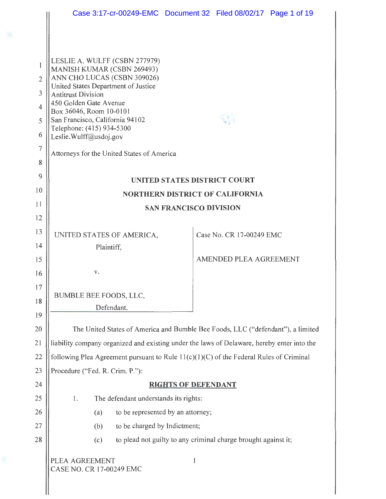|                                            |                                                                                                                                                                                                                                                                                                                                                             | Case 3:17-cr-00249-EMC  Document 32  Filed 08/02/17  Page 1 of 19               |  |
|--------------------------------------------|-------------------------------------------------------------------------------------------------------------------------------------------------------------------------------------------------------------------------------------------------------------------------------------------------------------------------------------------------------------|---------------------------------------------------------------------------------|--|
| 1<br>$\mathbf{2}$<br>3<br>4<br>5<br>6<br>7 | LESLIE A. WULFF (CSBN 277979)<br>MANISH KUMAR (CSBN 269493)<br>ANN CHO LUCAS (CSBN 309026)<br>United States Department of Justice<br><b>Antitrust Division</b><br>450 Golden Gate Avenue<br>Box 36046, Room 10-0101<br>San Francisco, California 94102<br>Telephone: (415) 934-5300<br>Leslie.Wulff@usdoj.gov<br>Attorneys for the United States of America |                                                                                 |  |
| 8<br>9                                     |                                                                                                                                                                                                                                                                                                                                                             |                                                                                 |  |
| 10                                         | <b>UNITED STATES DISTRICT COURT</b>                                                                                                                                                                                                                                                                                                                         |                                                                                 |  |
| 11                                         | <b>NORTHERN DISTRICT OF CALIFORNIA</b>                                                                                                                                                                                                                                                                                                                      |                                                                                 |  |
| 12                                         | <b>SAN FRANCISCO DIVISION</b>                                                                                                                                                                                                                                                                                                                               |                                                                                 |  |
| 13                                         | UNITED STATES OF AMERICA,                                                                                                                                                                                                                                                                                                                                   | Case No. CR 17-00249 EMC                                                        |  |
| 14                                         | Plaintiff,                                                                                                                                                                                                                                                                                                                                                  |                                                                                 |  |
| 15                                         |                                                                                                                                                                                                                                                                                                                                                             | AMENDED PLEA AGREEMENT                                                          |  |
| 16                                         | v.                                                                                                                                                                                                                                                                                                                                                          |                                                                                 |  |
| 17                                         | BUMBLE BEE FOODS, LLC,                                                                                                                                                                                                                                                                                                                                      |                                                                                 |  |
| 18                                         | Defendant.                                                                                                                                                                                                                                                                                                                                                  |                                                                                 |  |
| 19                                         |                                                                                                                                                                                                                                                                                                                                                             |                                                                                 |  |
| 20                                         |                                                                                                                                                                                                                                                                                                                                                             | The United States of America and Bumble Bee Foods, LLC ("defendant"), a limited |  |
| 21                                         | liability company organized and existing under the laws of Delaware, hereby enter into the                                                                                                                                                                                                                                                                  |                                                                                 |  |
| 22                                         | following Plea Agreement pursuant to Rule $11(c)(1)(C)$ of the Federal Rules of Criminal                                                                                                                                                                                                                                                                    |                                                                                 |  |
| 23                                         | Procedure ("Fed. R. Crim. P."):                                                                                                                                                                                                                                                                                                                             |                                                                                 |  |
| 24                                         | <u>RIGHTS OF DEFENDANT</u>                                                                                                                                                                                                                                                                                                                                  |                                                                                 |  |
| 25                                         | The defendant understands its rights:<br>1.                                                                                                                                                                                                                                                                                                                 |                                                                                 |  |
| 26                                         | to be represented by an attorney;<br>(a)                                                                                                                                                                                                                                                                                                                    |                                                                                 |  |
| 27                                         | to be charged by Indictment;<br>(b)                                                                                                                                                                                                                                                                                                                         |                                                                                 |  |
| 28                                         | to plead not guilty to any criminal charge brought against it;<br>(c)                                                                                                                                                                                                                                                                                       |                                                                                 |  |
|                                            | PLEA AGREEMENT<br>CASE NO. CR 17-00249 EMC                                                                                                                                                                                                                                                                                                                  | 1                                                                               |  |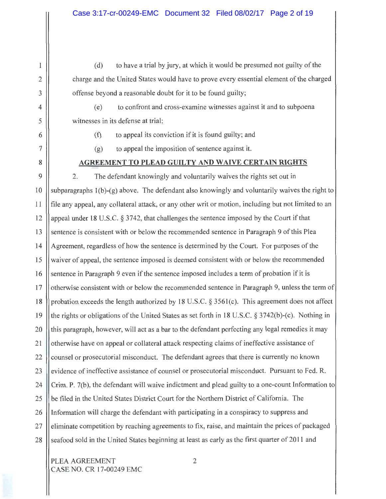(d) to have a trial by jury, at which it would be presumed not guilty of the charge and the United States would have to prove every essential element of the charged offense beyond a reasonable doubt for it to be found guilty;

(e) to confront and cross-examine witnesses against it and to subpoena witnesses in its defense at trial;

(f) to appeal its conviction if it is found guilty; and

(g) to appeal the imposition of sentence against it.

### **AGREEMENT TO PLEAD GUILTY AND WAIVE CERTAIN RIGHTS**

9 10 11 12 13 14 15 16 17 18 19 20 21 22 23 24 25 26 27 28 2. The defendant knowingly and voluntarily waives the rights set out in subparagraphs l(b)-(g) above. The defendant also knowingly and voluntarily waives the right to file any appeal, any collateral attack, or any other writ or motion, including but not limited to an appeal under 18 U.S.C. § 3742, that challenges the sentence imposed by the Court if that sentence is consistent with or below the recommended sentence in Paragraph 9 of this Plea Agreement, regardless of how the sentence is determined by the Court. For purposes of the waiver of appeal, the sentence imposed is deemed consistent with or below the recommended sentence in Paragraph 9 even if the sentence imposed includes a term of probation if it is otherwise consistent with or below the recommended sentence in Paragraph 9, unless the term of probation exceeds the length authorized by 18 U.S.C. § 356l(c). This agreement does not affect the rights or obligations of the United States as set forth in 18 U.S.C. § 3742(b)-(c). Nothing in this paragraph, however, will act as a bar to the defendant perfecting any legal remedies it may otherwise have on appeal or collateral attack respecting claims of ineffective assistance of counsel or prosecutorial misconduct. The defendant agrees that there is currently no known evidence of ineffective assistance of counsel or prosecutorial misconduct. Pursuant to Fed. R. Crim. P. 7(b), the defendant will waive indictment and plead guilty to a one-count Information to be filed in the United States District Court for the Northern District of California. The Information will charge the defendant with participating in a conspiracy to suppress and eliminate competition by reaching agreements to fix, raise, and maintain the prices of packaged seafood sold in the United States beginning at least as early as the first quarter of 2011 and

PLEA AGREEMENT 2 CASE NO. CR 17-00249 EMC

2

1

3

4

5

6

7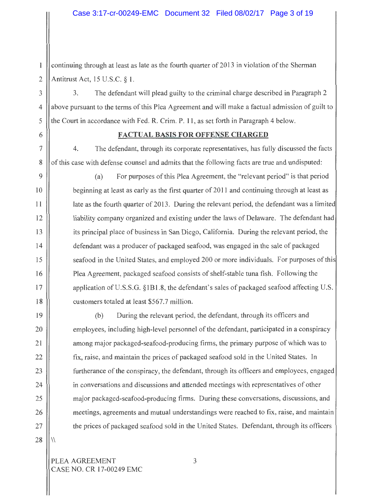continuing through at least as late as the fourth quarter of 2013 in violation of the Sherman  $\mathbf{1}$ 2 | Antitrust Act, 15 U.S.C.  $\S$  1.

3 || 3. The defendant will plead guilty to the criminal charge described in Paragraph 2 above pursuant to the terms of this Plea Agreement and will make a factual admission of guilt to the Court in accordance with Fed. R. Crim. P. 11, as set forth in Paragraph 4 below.

## 6 **FACTUAL BASIS FOR OFFENSE CHARGED**

7 4. The defendant, through its corporate representatives, has fully discussed the facts 8 | of this case with defense counsel and admits that the following facts are true and undisputed:

(a) For purposes of this Plea Agreement, the "relevant period" is that period beginning at least as early as the first quarter of 2011 and continuing through at least as late as the fourth quarter of 2013. During the relevant period, the defendant was a limited liability company organized and existing under the laws of Delaware. The defendant had its principal place of business in San Diego, California. During the relevant period, the defendant was a producer of packaged seafood, was engaged in the sale of packaged seafood in the United States, and employed 200 or more individuals. For purposes of this Plea Agreement, packaged seafood consists of shelf-stable tuna fish. Following the application ofU.S.S.G. §IBI.8, the defendant's sales of packaged seafood affecting U.S. customers totaled at least \$567.7 million.

(b) During the relevant period, the defendant, through its officers and employees, including high-level personnel of the defendant, participated in a conspiracy among major packaged-seafood-producing firms, the primary purpose of which was to fix, raise, and maintain the prices of packaged seafood sold in the United States. In furtherance of the conspiracy, the defendant, through its officers and employees, engaged in conversations and discussions and attended meetings with representatives of other major packaged-seafood-producing firms. During these conversations, discussions, and meetings, agreements and mutual understandings were reached to fix, raise, and maintain the prices of packaged seafood sold in the United States. Defendant, through its officers

PLEA AGREEMENT 3 CASE NO. CR 17-00249 EMC

4

5

9

10

11

12

13

14

15

16

17

18

19

20

21

22

23

24

25

26

27

 $28$   $\| \mathcal{N}$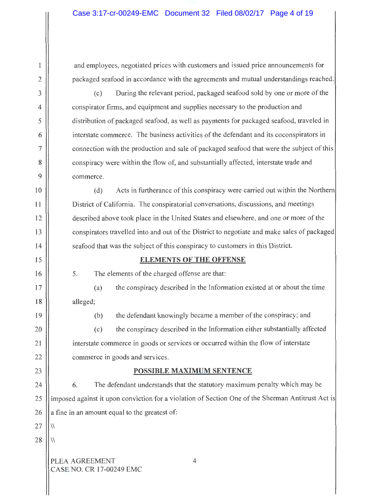and employees, negotiated prices with customers and issued price announcements for packaged seafood in accordance with the agreements and mutual understandings reached.

(c) During the relevant period, packaged seafood sold by one or more of the conspirator firms, and equipment and supplies necessary to the production and distribution of packaged seafood, as well as payments for packaged seafood, traveled in interstate commerce. The business activities of the defendant and its coconspirators in connection with the production and sale of packaged seafood that were the subject of this conspiracy were within the flow of, and substantially affected, interstate trade and commerce.

(d) Acts in furtherance of this conspiracy were carried out within the Northern District of California. The conspiratorial conversations, discussions, and meetings described above took place in the United States and elsewhere, and one or more of the conspirators travelled into and out of the District to negotiate and make sales of packaged seafood that was the subject of this conspiracy to customers in this District.

# **ELEMENTS OF THE OFFENSE**

5. The elements of the charged offense are that:

(a) the conspiracy described in the Information existed at or about the time alleged;

(b) the defendant knowingly became a member of the conspiracy; and

(c) the conspiracy described in the Information either substantially affected interstate commerce in goods or services or occurred within the flow of interstate commerce in goods and services.

# **POSSIBLE MAXIMUM SENTENCE**

24 6. The defendant understands that the statutory maximum penalty which may be imposed against it upon conviction for a violation of Section One of the Sherman Antitrust Act is a fine in an amount equal to the greatest of: 25 26

27  $\|\|$ 

2

1

3

4

5

6

7

8

9

IO

**11** 

12

13

14

15

16

17

**18** 

19

20

21

22

23

 $28$   $\!\!\!\!\perp$   $\!\!\!\perp$   $\!\!\!\perp$ 

PLEA AGREEMENT CASE NO. CR 17-00249 EMC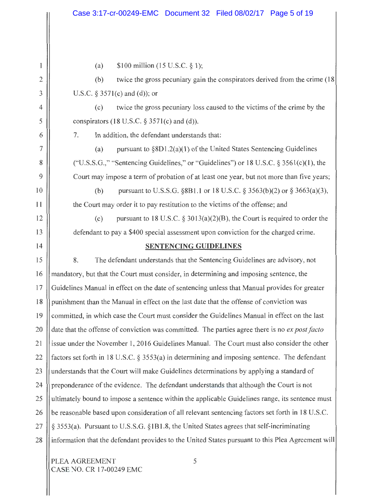(a)  $$100$  million (15 U.S.C. § 1);

2

 $\mathbf{1}$ 

3

4

5

6

7

8

9

10

**11** 

12

13

14

(b) twice the gross pecuniary gain the conspirators derived from the crime ( 18 U.S.C.  $\S 3571(c)$  and (d)); or

(c) twice the gross pecuniary loss caused to the victims of the crime by the conspirators (18 U.S.C.  $\S$  3571(c) and (d)).

7. In addition, the defendant understands that:

(a) pursuant to  $\S 8D1.2(a)(1)$  of the United States Sentencing Guidelines ("U.S.S.G.," "Sentencing Guidelines," or "Guidelines") or 18 U.S.C.  $\S$  3561(c)(1), the Court may impose a term of probation of at least one year, but not more than five years;

(b) pursuant to U.S.S.G.  $\S 8B1.1$  or 18 U.S.C.  $\S 3563(b)(2)$  or  $\S 3663(a)(3)$ , the Court may order it to pay restitution to the victims of the offense; and

(c) pursuant to 18 U.S.C.  $\S 3013(a)(2)(B)$ , the Court is required to order the defendant to pay a \$400 special assessment upon conviction for the charged crime.

## **SENTENCING GUIDELINES**

15 8. The defendant understands that the Sentencing Guidelines are advisory, not mandatory, but that the Court must consider, in determining and imposing sentence, the Guidelines Manual in effect on the date of sentencing unless that Manual provides for greater punishment than the Manual in effect on the last date that the offense of conviction was committed, in which case the Court must consider the Guidelines Manual in effect on the last date that the offense of conviction was committed. The parties agree there is no *ex post facto*  issue under the November l, 2016 Guidelines Manual. The Court must also consider the other factors set forth in 18 U.S.C. § 3553(a) in determining and imposing sentence. The defendant understands that the Court will make Guidelines determinations by applying a standard of preponderance of the evidence. The defendant understands that although the Court is not ultimately bound to impose a sentence within the applicable Guidelines range, its sentence must be reasonable based upon consideration of all relevant sentencing factors set forth in 18 U.S.C. § 3553(a). Pursuant to U.S.S.G. §1B1.8, the United States agrees that self-incriminating information that the defendant provides to the United States pursuant to this Plea Agreement will 16 17 **18**  19 20 21 22 23 24 25 26 27 28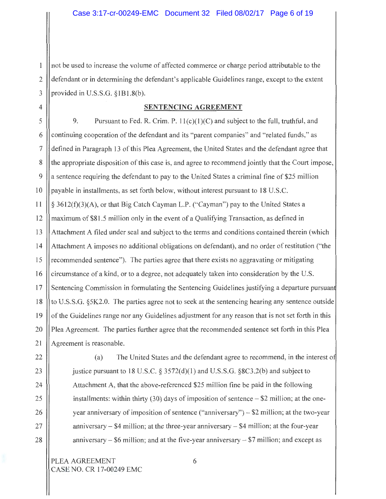not be used to increase the volume of affected commerce or charge period attributable to the  $\mathbf{1}$ defendant or in determining the defendant's applicable Guidelines range, except to the extent 2 3 provided in U.S.S.G. §1B1.8(b).

#### 4 **SENTENCING AGREEMENT**

5  $\vert$  9. Pursuant to Fed. R. Crim. P. 11(c)(1)(C) and subject to the full, truthful, and continuing cooperation of the defendant and its "parent companies" and "related funds," as defined in Paragraph 13 of this Plea Agreement, the United States and the defendant agree that the appropriate disposition of this case is, and agree to recommend jointly that the Court impose, a sentence requiring the defendant to pay to the United States a criminal fine of \$25 million payable in installments, as set forth below, without interest pursuant to 18 U.S.C. § 3612(f)(3)(A), or that Big Catch Cayman L.P. ("Cayman") pay to the United States a maximum of \$81 .5 million only in the event of a Qualifying Transaction, as defined in Attachment A filed under seal and subject to the terms and conditions contained therein (which Attachment A imposes no additional obligations on defendant), and no order of restitution ("the recommended sentence"). The parties agree that there exists no aggravating or mitigating circumstance of a kind, or to a degree, not adequately taken into consideration by the U.S. Sentencing Commission in formulating the Sentencing Guidelines justifying a departure pursuant to U.S.S.G. §5K2.0. The parties agree not to seek at the sentencing hearing any sentence outside of the Guidelines range nor any Guidelines adjustment for any reason that is not set forth in this Plea Agreement. The parties further agree that the recommended sentence set forth in this Plea Agreement is reasonable. 6 7 8 9 l O 11 12 13 14 15 16 17 18 19 20 21

27

28

(a) The United States and the defendant agree to recommend, in the interest o justice pursuant to 18 U.S.C.  $\S 3572(d)(1)$  and U.S.S.G.  $\S 8C3.2(b)$  and subject to Attachment A, that the above-referenced \$25 million fine be paid in the following installments: within thirty (30) days of imposition of sentence  $-$  \$2 million; at the oneyear anniversary of imposition of sentence ("anniversary")  $-$  \$2 million; at the two-year anniversary  $-$  \$4 million; at the three-year anniversary  $-$  \$4 million; at the four-year anniversary  $-$  \$6 million; and at the five-year anniversary  $-$  \$7 million; and except as

PLEA AGREEMENT 6 CASE NO. CR 17-00249 EMC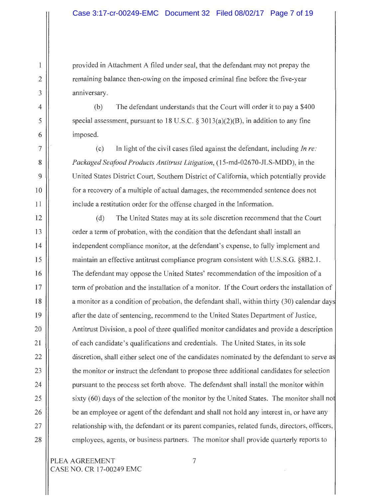provided in Attachment A filed under seal, that the defendant may not prepay the remaining balance then-owing on the imposed criminal fine before the five-year anniversary.

(b) The defendant understands that the Court will order it to pay a \$400 special assessment, pursuant to 18 U.S.C.  $\S 3013(a)(2)(B)$ , in addition to any fine imposed.

(c) In light of the civil cases filed against the defendant, including *In re: Packaged Seafood Products Antitrust Litigation,* (l 5-md-02670-JLS-MDD), in the United States District Court, Southern District of California, which potentially provide for a recovery of a multiple of actual damages, the recommended sentence does not include a restitution order for the offense charged in the Information.

(d) The United States may at its sole discretion recommend that the Court order a term of probation, with the condition that the defendant shall install an independent compliance monitor, at the defendant's expense, to fully implement and maintain an effective antitrust compliance program consistent with U.S.S.G. §8B2. l. The defendant may oppose the United States' recommendation of the imposition of a term of probation and the installation of a monitor. If the Court orders the installation of a monitor as a condition of probation, the defendant shall, within thirty (30) calendar day after the date of sentencing, recommend to the United States Department of Justice, Antitrust Division, a pool of three qualified monitor candidates and provide a description of each candidate's qualifications and credentials. The United States, in its sole discretion, shall either select one of the candidates nominated by the defendant to serve as the monitor or instruct the defendant to propose three additional candidates for selection pursuant to the process set forth above. The defendant shall install the monitor within sixty (60) days of the selection of the monitor by the United States. The monitor shall not be an employee or agent of the defendant and shall not hold any interest in, or have any relationship with, the defendant or its parent companies, related funds, directors, officers, employees, agents, or business partners. The monitor shall provide quarterly reports to

1

2

3

4

5

6

7

8

9

10

11

12

13

14

15

16

17

18

19

20

21

22

23

24

25

26

27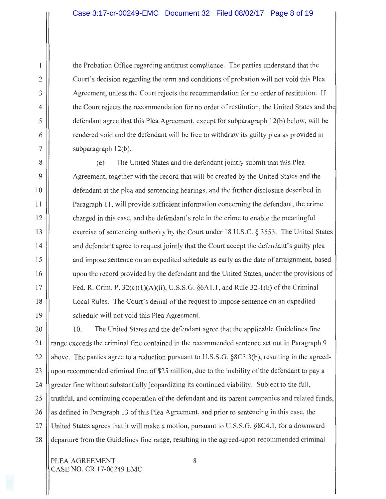the Probation Office regarding antitrust compliance. The parties understand that the Court's decision regarding the term and conditions of probation will not void this Plea Agreement, unless the Court rejects the recommendation for no order of restitution. If the Court rejects the recommendation for no order of restitution, the United States and th defendant agree that this Plea Agreement, except for subparagraph l 2(b) below, will be rendered void and the defendant will be free to withdraw its guilty plea as provided in subparagraph 12(b).

(e) The United States and the defendant jointly submit that this Plea Agreement, together with the record that will be created by the United States and the defendant at the plea and sentencing hearings, and the further disclosure described in Paragraph 11, will provide sufficient information concerning the defendant, the crime charged in this case, and the defendant's role in the crime to enable the meaningful exercise of sentencing authority by the Court under 18 U.S.C. § 3553. The United States and defendant agree to request jointly that the Court accept the defendant's guilty plea and impose sentence on an expedited schedule as early as the date of arraignment, based upon the record provided by the defendant and the United States, under the provisions of Fed. R. Crim. P.  $32(c)(1)(A)(ii)$ , U.S.S.G.  $\S 6A1.1$ , and Rule  $32-1(b)$  of the Criminal Local Rules. The Court's denial of the request to impose sentence on an expedited schedule will not void this Plea Agreement.

20 10. The United States and the defendant agree that the applicable Guidelines fine range exceeds the criminal fine contained in the recommended sentence set out in Paragraph 9 above. The parties agree to a reduction pursuant to U.S.S.G. §8C3.3(b), resulting in the agreedupon recommended criminal fine of \$25 million, due to the inability of the defendant to pay a greater fine without substantially jeopardizing its continued viability. Subject to the full, truthful, and continuing cooperation of the defendant and its parent companies and related funds, as defined in Paragraph 13 of this Plea Agreement, and prior to sentencing in this case, the United States agrees that it will make a motion, pursuant to U.S.S.G. §8C4.l , for a downward departure from the Guidelines fine range, resulting in the agreed-upon recommended criminal 21 22 23 24 25 26 27 28

PLEA AGREEMENT 8 CASE NO. CR 17-00249 EMC

1

2

3

4

5

6

7

8

9

10

11

12

13

14

15

16

17

18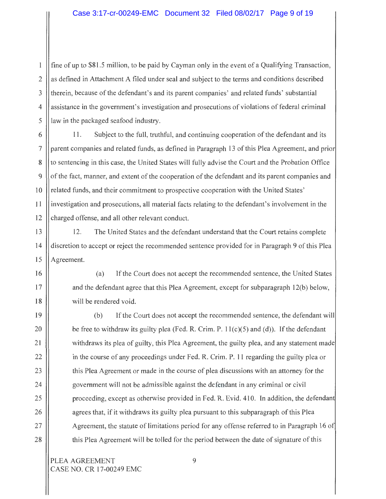# Case 3:17-cr-00249-EMC Document 32 Filed 08/02/17 Page 9 of 19

 $\frac{1}{1}$  fine of up to \$81.5 million, to be paid by Cayman only in the event of a Qualifying Transaction, as defined in Attachment A filed under seal and subject to the terms and conditions described therein, because of the defendant's and its parent companies' and related funds' substantial assistance in the government's investigation and prosecutions of violations of federal criminal law in the packaged seafood industry. 2 3 4 5

6 11. Subject to the full, truthful, and continuing cooperation of the defendant and its parent companies and related funds, as defined in Paragraph 13 of this Plea Agreement, and prior to sentencing in this case, the United States will fully advise the Court and the Probation Office of the fact, manner, and extent of the cooperation of the defendant and its parent companies and related funds, and their commitment to prospective cooperation with the United States' investigation and prosecutions, all material facts relating to the defendant's involvement in the charged offense, and all other relevant conduct. 7 8 9 10 11 12

13 12. The United States and the defendant understand that the Court retains complete discretion to accept or reject the recommended sentence provided for in Paragraph 9 of this Plea Agreement. 14 15

> (a) If the Court does not accept the recommended sentence, the United States and the defendant agree that this Plea Agreement, except for subparagraph 12(6) below, will be rendered void.

(b) If the Court does not accept the recommended sentence, the defendant will be free to withdraw its guilty plea (Fed. **R.** Crim. P. l l(c)(5) and (d)). If the defendant withdraws its plea of guilty, this Plea Agreement, the guilty plea, and any statement made in the course of any proceedings under Fed. R. Crim. P. 11 regarding the guilty plea or this Plea Agreement or made in the course of plea discussions with an attorney for the government will not be admissible against the defendant in any criminal or civil proceeding, except as otherwise provided in Fed. R. Evid. 410. In addition, the defendan agrees that, if it withdraws its guilty plea pursuant to this subparagraph of this Plea Agreement, the statute of limitations period for any offense referred to in Paragraph 16 o this Plea Agreement will be tolled for the period between the date of signature of this

PLEA AGREEMENT 9 CASE NO. CR 17-00249 EMC

16

17

18

19

20

21

22

23

24

25

26

27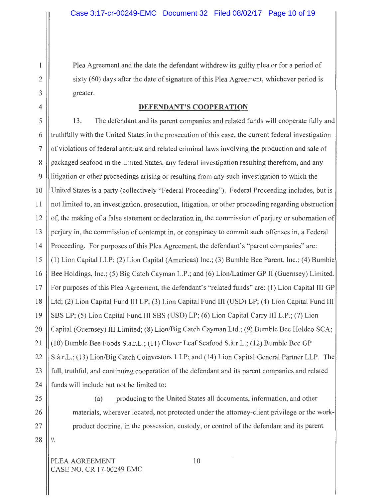Plea Agreement and the date the defendant withdrew its guilty plea or for a period of sixty (60) days after the date of signature of this Plea Agreement, whichever period is greater.

#### **DEFENDANT'S COOPERATION**

5 13. The defendant and its parent companies and related funds will cooperate fully and truthfully with the United States in the prosecution of this case, the current federal investigation of violations of federal antitrust and related criminal laws involving the production and sale of packaged seafood in the United States, any federal investigation resulting therefrom, and any litigation or other proceedings arising or resulting from any such investigation to which the United States is a party (collectively "Federal Proceeding"). Federal Proceeding includes, but is not limited to, an investigation, prosecution, litigation, or other proceeding regarding obstruction of, the making of a false statement or declaration in, the commission of perjury or subornation of perjury in, the commission of contempt in, or conspiracy to commit such offenses in, a Federal Proceeding. For purposes of this Plea Agreement, the defendant's "parent companies" are: (1) Lion Capital LLP; (2) Lion Capital (Americas) Inc.; (3) Bumble Bee Parent, Inc.; (4) Bumble Bee Holdings, Inc.; (5) Big Catch Cayman L.P.; and (6) Lion/Latimer GP II (Guernsey) Limited. For purposes of this Plea Agreement, the defendant's "related funds" are: (I) Lion Capital III GP Ltd; (2) Lion Capital Fund III LP; (3) Lion Capital Fund III (USD) LP; (4) Lion Capital Fund III SBS LP; (5) Lion Capital Fund III SBS (USD) LP; (6) Lion Capital Carry III L.P.; (7) Lion Capital (Guernsey) III Limited; (8) Lion/Big Catch Cayman Ltd.; (9) Bumble Bee Holdco SCA; (10) Bumble Bee Foods S.a.r.L.; (11) Clover Leaf Seafood S.a.r.L.; (12) Bumble Bee GP S.a.r.L.; (13) Lion/Big Catch Coinvestors 1 LP; and (14) Lion Capital General Partner LLP. The full, truthful, and continuing cooperation of the defendant and its parent companies and related funds will include but not be limited to: 6 7 8 9 10 11 12 13 14 15 16 17 18 19 20 21 22 23 24

26

27

 $28$  || \\

2

1

3

4

25 (a) producing to the United States all documents, information, and other materials, wherever located, not protected under the attorney-client privilege or the workproduct doctrine, in the possession, custody, or control of the defendant and its parent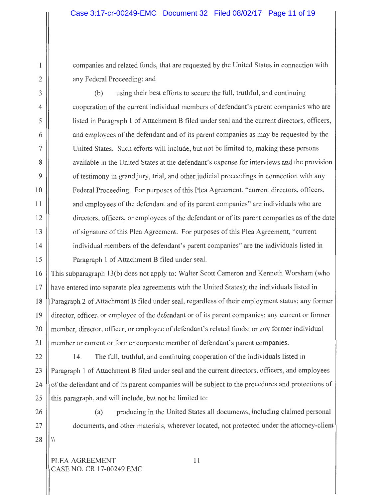companies and related funds, that are requested by the United States in connection with any Federal Proceeding; and

(b) using their best efforts to secure the full, truthful, and continuing cooperation of the current individual members of defendant's parent companies who are listed in Paragraph **1** of Attachment B filed under seal and the current directors, officers, and employees of the defendant and of its parent companies as may be requested by the United States. Such efforts will include, but not be limited to, making these persons available in the United States at the defendant's expense for interviews and the provision of testimony in grand jury, trial, and other judicial proceedings in connection with any Federal Proceeding. For purposes of this Plea Agreement, "current directors, officers, and employees of the defendant and of its parent companies" are individuals who are directors, officers, or employees of the defendant or of its parent companies as of the date of signature of this Plea Agreement. For purposes of this Plea Agreement, "current individual members of the defendant's parent companies" are the individuals listed in Paragraph 1 of Attachment B filed under seal.

16 | This subparagraph 13(b) does not apply to: Walter Scott Cameron and Kenneth Worsham (who have entered into separate plea agreements with the United States); the individuals listed in Paragraph 2 of Attachment B filed under seal, regardless of their employment status; any former director, officer, or employee of the defendant or of its parent companies; any current or former member, director, officer, or employee of defendant's related funds; or any former individual member or current or former corporate member of defendant's parent companies. 17 **18**  19 20 21

22  $\parallel$  14. The full, truthful, and continuing cooperation of the individuals listed in Paragraph 1 of Attachment B filed under seal and the current directors, officers, and employees of the defendant and of its parent companies will be subject to the procedures and protections of this paragraph, and will include, but not be limited to: 23 24 25

26 (a) producing in the United States all documents, including claimed personal 27 | documents, and other materials, wherever located, not protected under the attorney-client

PLEA AGREEMENT 11 CASE NO. CR 17-00249 EMC

2

1

3

4

5

6

7

8

9

10

11

12

13

14

15

 $28$   $\!\!\!\!\perp$   $\!\!\!\perp$   $\!\!\!\perp$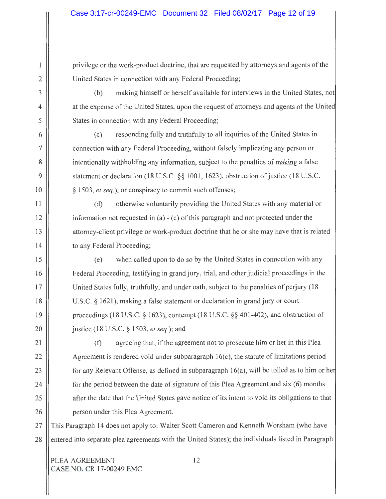privilege or the work-product doctrine, that are requested by attorneys and agents of the United States in connection with any Federal Proceeding;

(b) making himself or herself available for interviews **in** the United States, not at the expense of the United States, upon the request of attorneys and agents of the Unite States in connection with any Federal Proceeding;

(c) responding fully and truthfully to all inquiries of the United States **in**  connection with any Federal Proceeding, without falsely implicating any person or intentionally withholding any information, subject to the penalties of making a false statement or declaration (18 U.S.C. §§ 1001, 1623), obstruction of justice (18 U.S.C. § 1503, *et seq.),* or conspiracy to commit such offenses;

(d) otherwise voluntarily providing the United States with any material or information not requested in (a)  $-$  (c) of this paragraph and not protected under the attorney-client privilege or work-product doctrine that he or she may have that is related to any Federal Proceeding;

(e) when called upon to do so by the United States in connection with any Federal Proceeding, testifying in grand jury, trial, and other judicial proceedings in the United States fully, truthfully, and under oath, subject to the penalties of perjury (18 U.S.C. § 1621), making a false statement or declaration in grand jury or court proceedings (18 U.S.C. § 1623), contempt (18 U.S.C. §§ 401-402), and obstruction of justice (18 U.S.C. § 1503, *et seq.);* and

(f) agreeing that, if the agreement not to prosecute him or her in this Plea Agreement is rendered void under subparagraph  $16(c)$ , the statute of limitations period for any Relevant Offense, as defined in subparagraph 16(a), will be tolled as to him or he for the period between the date of signature of this Plea Agreement and six (6) months after the date that the United States gave notice of its intent to void its obligations to that person under this Plea Agreement.

27 This Paragraph 14 does not apply to: Walter Scott Cameron and Kenneth Worsham (who have 28 entered into separate plea agreements with the United States); the individuals listed in Paragraph

PLEA AGREEMENT 12 CASE NO. CR 17-00249 EMC

2

1

3

4

5

6

7

8

9

10

11

12

13

14

15

16

17

18

19

20

21

22

23

24

25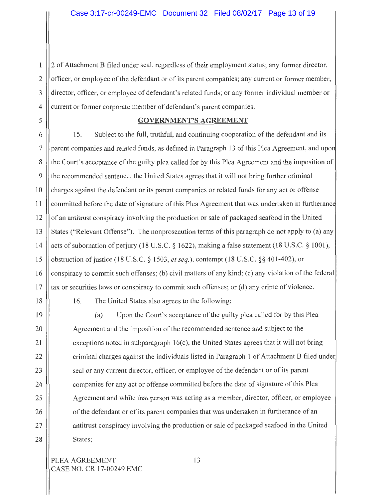2 of Attachment B filed under seal, regardless of their employment status; any former director,  $\mathbf{1}$ 2 officer, or employee of the defendant or of its parent companies; any current or former member, 3 director, officer, or employee of defendant's related funds; or any former individual member or 4 current or former corporate member of defendant's parent companies.

#### 5 **GOVERNMENT'S AGREEMENT**

6 15. Subject to the full, truthful, and continuing cooperation of the defendant and its parent companies and related funds, as defined in Paragraph 13 of this Plea Agreement, and upo the Court's acceptance of the guilty plea called for by this Plea Agreement and the imposition of the recommended sentence, the United States agrees that it will not bring further criminal charges against the defendant or its parent companies or related funds for any act or offense committed before the date of signature of this Plea Agreement that was undertaken in furtheranc of an antitrust conspiracy involving the production or sale of packaged seafood in the United States ("Relevant Offense"). The nonprosecution terms of this paragraph do not apply to (a) any acts of subornation of perjury (18 U.S.C. § 1622), making a false statement (18 U.S.C. § 1001), obstruction of justice (18 U.S.C. § 1503, *et seq.),* contempt (18 U.S.C. §§ 401-402), or conspiracy to commit such offenses; (b) civil matters of any kind; (c) any violation of the federal tax or securities laws or conspiracy to commit such offenses; or (d) any crime of violence. 7 8 9 IO 11 12 13 14 15 16 17

18

19

20

21

22

23

24

25

26

27

28

16. The United States also agrees to the following:

(a) Upon the Court's acceptance of the guilty plea called for by this Plea Agreement and the imposition of the recommended sentence and subject to the exceptions noted in subparagraph  $16(c)$ , the United States agrees that it will not bring criminal charges against the individuals listed in Paragraph 1 of Attachment B filed under seal or any current director, officer, or employee of the defendant or of its parent companies for any act or offense committed before the date of signature of this Plea Agreement and while that person was acting as a member, director, officer, or employee of the defendant or of its parent companies that was undertaken in furtherance of an antitrust conspiracy involving the production or sale of packaged seafood in the United States;

PLEA AGREEMENT 13 CASE NO. CR 17-00249 EMC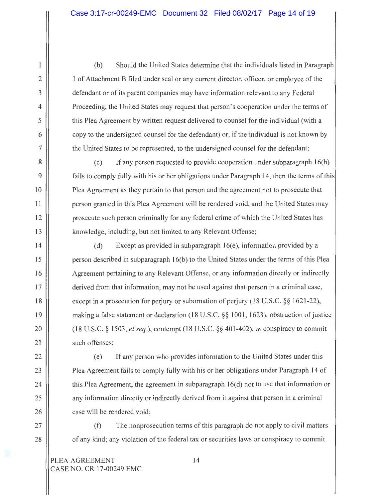(b) Should the United States determine that the individuals listed in Paragraph 1 of Attachment B filed under seal or any current director, officer, or employee of the defendant or of its parent companies may have information relevant to any Federal Proceeding, the United States may request that person's cooperation under the terms of this Plea Agreement by written request delivered to counsel for the individual (with a copy to the undersigned counsel for the defendant) or, if the individual is not known by the United States to be represented, to the undersigned counsel for the defendant;

 $(c)$  If any person requested to provide cooperation under subparagraph 16(b) fails to comply fully with his or her obligations under Paragraph 14, then the terms of this Plea Agreement as they pertain to that person and the agreement not to prosecute that person granted in this Plea Agreement will be rendered void, and the United States may prosecute such person criminally for any federal crime of which the United States has knowledge, including, but not limited to any Relevant Offense;

(d) Except as provided in subparagraph  $16(e)$ , information provided by a person described in subparagraph I 6(b) to the United States under the terms of this Plea Agreement pertaining to any Relevant Offense, or any information directly or indirectly derived from that information, may not be used against that person in a criminal case, except in a prosecution for perjury or subornation of perjury (18 U.S.C. §§ 1621-22), making a false statement or declaration ( 18 U .S.C. §§ l 001, 1623), obstruction of justice (18 U.S.C. § 1503, *et seq.),* contempt (18 U.S.C. §§ 401-402), or conspiracy to commit such offenses;

(e) If any person who provides information to the United States under this Plea Agreement fails to comply fully with his or her obligations under Paragraph 14 of this Plea Agreement, the agreement in subparagraph  $16(d)$  not to use that information or any information directly or indirectly derived from it against that person in a criminal case will be rendered void;

 $(f)$  The non prosecution terms of this paragraph do not apply to civil matters of any kind; any violation of the federal tax or securities laws or conspiracy to commit

2

1

3

4

5

6

7

8

9

10

11

12

13

14

15

16

17

18

19

20

21

22

23

24

25

26

27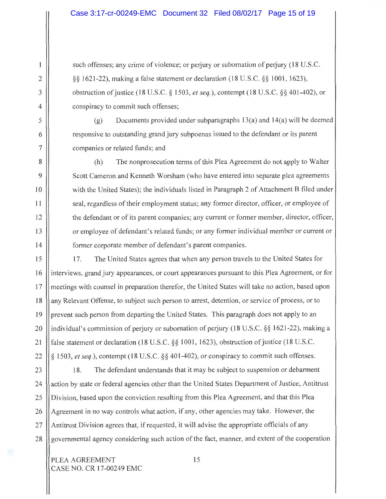such offenses; any crime of violence; or perjury or subornation of perjury (18 U.S.C. §§ I 621-22), making a false statement or declaration ( 18 U .S.C. §§ I 00 I, 1623), obstruction of justice (I 8 U.S.C. § I 503, *et seq.),* contempt (18 U.S.C. §§ 401-402), or conspiracy to commit such offenses;

(g) Documents provided under subparagraphs  $13(a)$  and  $14(a)$  will be deemed responsive to outstanding grand jury subpoenas issued to the defendant or its parent companies or related funds; and

(h) The nonprosecution terms of this Plea Agreement do not apply to Walter Scott Cameron and Kenneth Worsham (who have entered into separate plea agreements with the United States); the individuals listed in Paragraph 2 of Attachment B filed under seal, regardless of their employment status; any former director, officer, or employee of the defendant or of its parent companies; any current or former member, director, officer, or employee of defendant's related funds; or any former individual member or current or former corporate member of defendant's parent companies.

15 17. The United States agrees that when any person travels to the United States for interviews, grand jury appearances, or court appearances pursuant to this Plea Agreement, or for meetings with counsel in preparation therefor, the United States will take no action, based upon any Relevant Offense, to subject such person to arrest, detention, or service of process, or to prevent such person from departing the United States. This paragraph does not apply to an individual's commission of perjury or subornation of perjury (18 U.S.C. §§ 1621-22), making a false statement or declaration (18 U.S.C. §§ 1001, 1623), obstruction of justice (18 U.S.C. § 1503, *et seq.),* contempt (18 U.S.C. §§ 401-402), or conspiracy to commit such offenses. 16 17 18 19 20 21 22

23  $\parallel$  18. The defendant understands that it may be subject to suspension or debarment action by state or federal agencies other than the United States Department of Justice, Antitrust Division, based upon the conviction resulting from this Plea Agreement, and that this Plea Agreement in no way controls what action, if any, other agencies may take. However, the Antitrust Division agrees that, if requested, it will advise the appropriate officials of any governmental agency considering such action of the fact, manner, and extent of the cooperation 24 25 26 27 28

2

1

3

4

5

6

7

8

9

10

11

12

13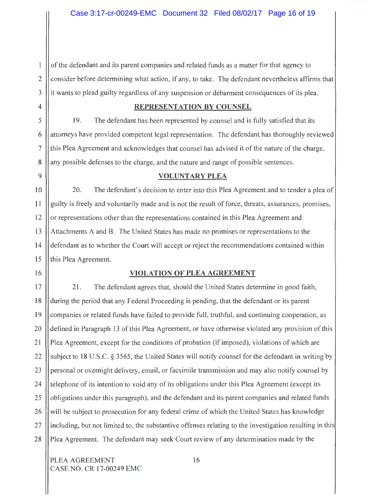of the defendant and its parent companies and related funds as a matter for that agency to  $\mathbf{1}$ 2 consider before determining what action, if any, to take. The defendant nevertheless affirms that it wants to plead guilty regardless of any suspension or debarment consequences of its plea. 3

## 4 **REPRESENTATION BY COUNSEL**

5 19. The defendant has been represented by counsel and is fully satisfied that its attorneys have provided competent legal representation. The defendant has thoroughly reviewed this Plea Agreement and acknowledges that counsel has advised it of the nature of the charge, any possible defenses to the charge, and the nature and range of possible sentences.

#### 9 **VOLUNTARY PLEA**

10 || 20. The defendant's decision to enter into this Plea Agreement and to tender a plea of guilty is freely and voluntarily made and is not the result of force, threats, assurances, promises, or representations other than the representations contained in this Plea Agreement and Attachments A and B. The United States has made no promises or representations to the defendant as to whether the Court will accept or reject the recommendations contained within this Plea Agreement. 11 12 13 14 15

# 16 **VIOLATION OF PLEA AGREEMENT**

17 21. The defendant agrees that, should the United States determine in good faith, during the period that any Federal Proceeding is pending, that the defendant or its parent companies or related funds have failed to provide full, truthful, and continuing cooperation, as defined in Paragraph 13 of this Plea Agreement, or have otherwise violated any provision of this Plea Agreement, except for the conditions of probation (if imposed), violations of which are subject to **18** U.S.C. § 3565, the United States will notify counsel for the defendant **in** writing by personal or overnight delivery, email, or facsimile transmission and may also notify counsel by telephone of its intention to void any of its obligations under this Plea Agreement ( except its obligations under this paragraph), and the defendant and its parent companies and related funds will be subject to prosecution for any federal crime of which the United States has knowledge including, but not limited to, the substantive offenses relating to the investigation resulting in this Plea Agreement. The defendant may seek Court review of any determination made by the 18 19 20 21 22 23 24 25 26 27 28

PLEA AGREEMENT 16 CASE NO. CR 17-00249 EMC

6

7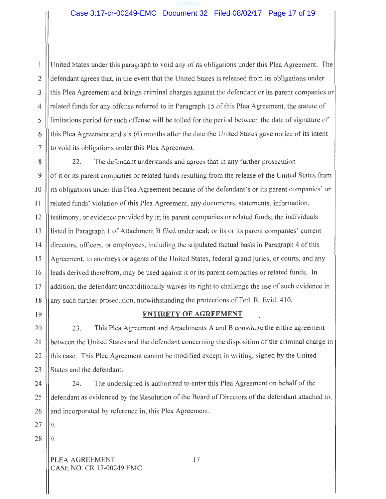United States under this paragraph to void any of its obligations under this Plea Agreement. The  $\mathbf{1}$ defendant agrees that, in the event that the United States is released from its obligations under 2 3 this Plea Agreement and brings criminal charges against the defendant or its parent companies or 4 related funds for any offense referred to in Paragraph 15 of this Plea Agreement, the statute of limitations period for such offense will be tolled for the period between the date of signature of 5 this Plea Agreement and six (6) months after the date the United States gave notice of its intent 6 7 to void its obligations under this Plea Agreement.

8 22. The defendant understands and agrees that in any further prosecution of it or its parent companies or related funds resulting from the release of the United States from its obligations under this Plea Agreement because of the defendant's or its parent companies' or related funds' violation of this Plea Agreement, any documents, statements, information, testimony, or evidence provided by it; its parent companies or related funds; the individuals listed in Paragraph I of Attachment B filed under seal; or its or its parent companies' current directors, officers, or employees, including the stipulated factual basis in Paragraph 4 of this Agreement, to attorneys or agents of the United States, federal grand juries, or courts, and any leads derived therefrom, may be used against it or its parent companies or related funds. In addition, the defendant unconditionally waives its right to challenge the use of such evidence in any such further prosecution, notwithstanding the protections of Fed. R. Evid. 410. 9 10 I I 12 13 14 15 I 6 17 I 8

# 19 **ENTIRETY OF AGREEMENT**

20 **23.** This Plea Agreement and Attachments A and B constitute the entire agreement between the United States and the defendant concerning the disposition of the criminal charge in this case. This Plea Agreement cannot be modified except in writing, signed by the United States and the defendant. 21 22 23

24 || 24. The undersigned is authorized to enter this Plea Agreement on behalf of the defendant as evidenced by the Resolution of the Board of Directors of the defendant attached to, and incorporated by reference in, this Plea Agreement. 25 26

 $27 \;$  II W

 $28 \,$  || \\

PLEA AGREEMENT 17 CASE NO. CR 17-00249 EMC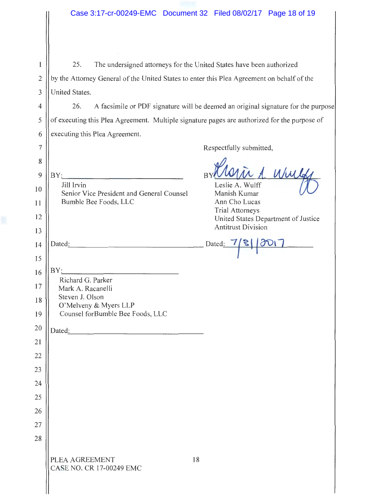25. The undersigned attorneys for the United States have been authorized  $\mathbf{1}$ 2 by the Attorney General of the United States to enter this Plea Agreement on behalf of the 3 United States.

5

7

26. A facsimile or PDF signature will be deemed an original signature for the purpose of executing this Plea Agreement. Multiple signature pages are authorized for the purpose of executing this Plea Agreement. 4 6

Respectfully submitted,

8  $\left\{ \mathbf{B}\right\}$   $\mathbf{B}\mathbf{Y}$ : ir A. Whe BY: Jill Irvin Leslie A. Wulff IO Senior Vice President and General Counsel Manish Kumar Bumble Bee Foods, LLC Ann Cho Lucas 11 Trial Attorneys 12 United States Department of Justice Antitrust Division 13 14 || Dated<u>: Dated: Dated: Dated: Dated: Dated: Dated: Dated: Dated: Dated: Dated: Dated: </u> 15  $\begin{array}{c|c|c|c} 13 & B & B & C \\ \hline 16 & B & C & C & C \\ \hline \end{array}$ Richard G. Parker 17 Mark A. Racanelli Steven J. Olson 18 O'Melveny & Myers LLP Counsel forBumble Bee Foods, LLC 19 20 Dated: **Dated:** 21 22 23 24 25 26 27 28 PLEA AGREEMENT 18

CASE NO. CR 17-00249 EMC